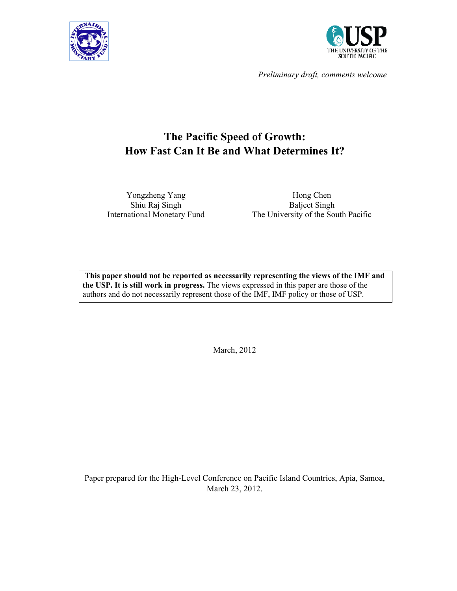



*Preliminary draft, comments welcome* 

# **The Pacific Speed of Growth: How Fast Can It Be and What Determines It?**

Yongzheng Yang Shiu Raj Singh

International Monetary Fund The University of the South Pacific Hong Chen Baljeet Singh

**This paper should not be reported as necessarily representing the views of the IMF and the USP. It is still work in progress.** The views expressed in this paper are those of the authors and do not necessarily represent those of the IMF, IMF policy or those of USP.

March, 2012

Paper prepared for the High-Level Conference on Pacific Island Countries, Apia, Samoa, March 23, 2012.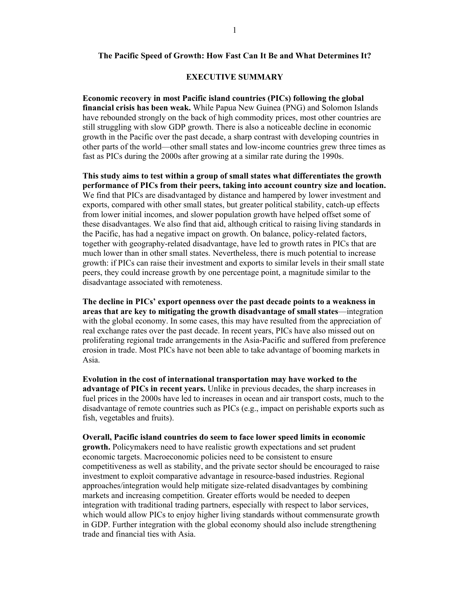#### **The Pacific Speed of Growth: How Fast Can It Be and What Determines It?**

#### **EXECUTIVE SUMMARY**

**Economic recovery in most Pacific island countries (PICs) following the global financial crisis has been weak.** While Papua New Guinea (PNG) and Solomon Islands have rebounded strongly on the back of high commodity prices, most other countries are still struggling with slow GDP growth. There is also a noticeable decline in economic growth in the Pacific over the past decade, a sharp contrast with developing countries in other parts of the world—other small states and low-income countries grew three times as fast as PICs during the 2000s after growing at a similar rate during the 1990s.

**This study aims to test within a group of small states what differentiates the growth performance of PICs from their peers, taking into account country size and location.** We find that PICs are disadvantaged by distance and hampered by lower investment and exports, compared with other small states, but greater political stability, catch-up effects from lower initial incomes, and slower population growth have helped offset some of these disadvantages. We also find that aid, although critical to raising living standards in the Pacific, has had a negative impact on growth. On balance, policy-related factors, together with geography-related disadvantage, have led to growth rates in PICs that are much lower than in other small states. Nevertheless, there is much potential to increase growth: if PICs can raise their investment and exports to similar levels in their small state peers, they could increase growth by one percentage point, a magnitude similar to the disadvantage associated with remoteness.

**The decline in PICs' export openness over the past decade points to a weakness in areas that are key to mitigating the growth disadvantage of small states**—integration with the global economy. In some cases, this may have resulted from the appreciation of real exchange rates over the past decade. In recent years, PICs have also missed out on proliferating regional trade arrangements in the Asia-Pacific and suffered from preference erosion in trade. Most PICs have not been able to take advantage of booming markets in Asia.

**Evolution in the cost of international transportation may have worked to the advantage of PICs in recent years.** Unlike in previous decades, the sharp increases in fuel prices in the 2000s have led to increases in ocean and air transport costs, much to the disadvantage of remote countries such as PICs (e.g., impact on perishable exports such as fish, vegetables and fruits).

**Overall, Pacific island countries do seem to face lower speed limits in economic growth.** Policymakers need to have realistic growth expectations and set prudent economic targets. Macroeconomic policies need to be consistent to ensure competitiveness as well as stability, and the private sector should be encouraged to raise investment to exploit comparative advantage in resource-based industries. Regional approaches/integration would help mitigate size-related disadvantages by combining markets and increasing competition. Greater efforts would be needed to deepen integration with traditional trading partners, especially with respect to labor services, which would allow PICs to enjoy higher living standards without commensurate growth in GDP. Further integration with the global economy should also include strengthening trade and financial ties with Asia.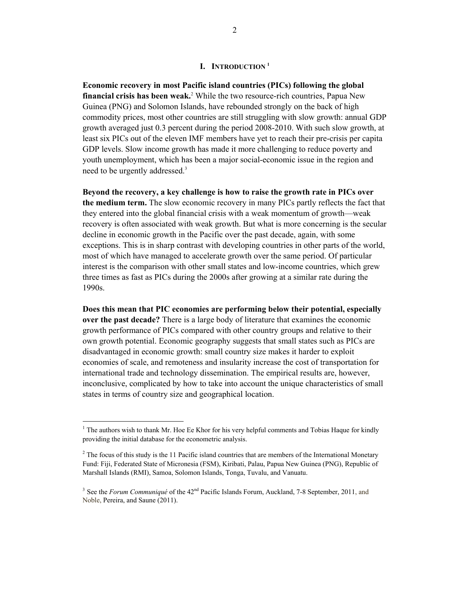**Economic recovery in most Pacific island countries (PICs) following the global financial crisis has been weak.**<sup>2</sup> While the two resource-rich countries, Papua New Guinea (PNG) and Solomon Islands, have rebounded strongly on the back of high commodity prices, most other countries are still struggling with slow growth: annual GDP growth averaged just 0.3 percent during the period 2008-2010. With such slow growth, at least six PICs out of the eleven IMF members have yet to reach their pre-crisis per capita GDP levels. Slow income growth has made it more challenging to reduce poverty and youth unemployment, which has been a major social-economic issue in the region and need to be urgently addressed.<sup>3</sup>

**Beyond the recovery, a key challenge is how to raise the growth rate in PICs over the medium term.** The slow economic recovery in many PICs partly reflects the fact that they entered into the global financial crisis with a weak momentum of growth—weak recovery is often associated with weak growth. But what is more concerning is the secular decline in economic growth in the Pacific over the past decade, again, with some exceptions. This is in sharp contrast with developing countries in other parts of the world, most of which have managed to accelerate growth over the same period. Of particular interest is the comparison with other small states and low-income countries, which grew three times as fast as PICs during the 2000s after growing at a similar rate during the 1990s.

**Does this mean that PIC economies are performing below their potential, especially over the past decade?** There is a large body of literature that examines the economic growth performance of PICs compared with other country groups and relative to their own growth potential. Economic geography suggests that small states such as PICs are disadvantaged in economic growth: small country size makes it harder to exploit economies of scale, and remoteness and insularity increase the cost of transportation for international trade and technology dissemination. The empirical results are, however, inconclusive, complicated by how to take into account the unique characteristics of small states in terms of country size and geographical location.

 $<sup>1</sup>$  The authors wish to thank Mr. Hoe Ee Khor for his very helpful comments and Tobias Haque for kindly</sup> providing the initial database for the econometric analysis.

 $2^2$  The focus of this study is the 11 Pacific island countries that are members of the International Monetary Fund: Fiji, Federated State of Micronesia (FSM), Kiribati, Palau, Papua New Guinea (PNG), Republic of Marshall Islands (RMI), Samoa, Solomon Islands, Tonga, Tuvalu, and Vanuatu.

<sup>&</sup>lt;sup>3</sup> See the *Forum Communiqué* of the 42<sup>nd</sup> Pacific Islands Forum, Auckland, 7-8 September, 2011, and Noble, Pereira, and Saune (2011).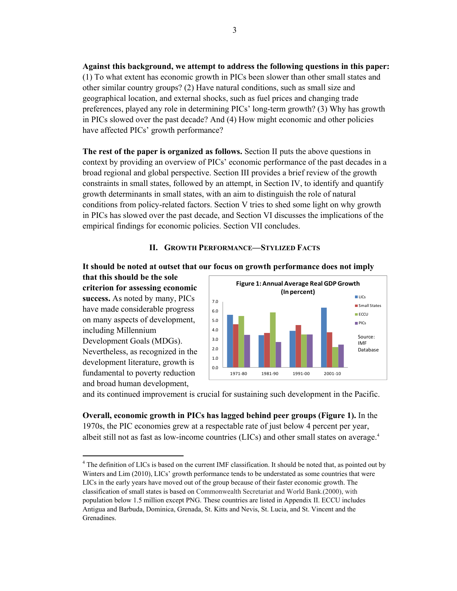**Against this background, we attempt to address the following questions in this paper:** (1) To what extent has economic growth in PICs been slower than other small states and other similar country groups? (2) Have natural conditions, such as small size and geographical location, and external shocks, such as fuel prices and changing trade preferences, played any role in determining PICs' long-term growth? (3) Why has growth in PICs slowed over the past decade? And (4) How might economic and other policies have affected PICs' growth performance?

**The rest of the paper is organized as follows.** Section II puts the above questions in context by providing an overview of PICs' economic performance of the past decades in a broad regional and global perspective. Section III provides a brief review of the growth constraints in small states, followed by an attempt, in Section IV, to identify and quantify growth determinants in small states, with an aim to distinguish the role of natural conditions from policy-related factors. Section V tries to shed some light on why growth in PICs has slowed over the past decade, and Section VI discusses the implications of the empirical findings for economic policies. Section VII concludes.

# **II. GROWTH PERFORMANCE—STYLIZED FACTS**



**that this should be the sole criterion for assessing economic success.** As noted by many, PICs have made considerable progress on many aspects of development, including Millennium Development Goals (MDGs). Nevertheless, as recognized in the development literature, growth is fundamental to poverty reduction and broad human development,



and its continued improvement is crucial for sustaining such development in the Pacific.

**Overall, economic growth in PICs has lagged behind peer groups (Figure 1).** In the 1970s, the PIC economies grew at a respectable rate of just below 4 percent per year, albeit still not as fast as low-income countries (LICs) and other small states on average.4

<sup>&</sup>lt;sup>4</sup> The definition of LICs is based on the current IMF classification. It should be noted that, as pointed out by Winters and Lim (2010), LICs' growth performance tends to be understated as some countries that were LICs in the early years have moved out of the group because of their faster economic growth. The classification of small states is based on Commonwealth Secretariat and World Bank.(2000), with population below 1.5 million except PNG. These countries are listed in Appendix II. ECCU includes Antigua and Barbuda, Dominica, Grenada, St. Kitts and Nevis, St. Lucia, and St. Vincent and the Grenadines.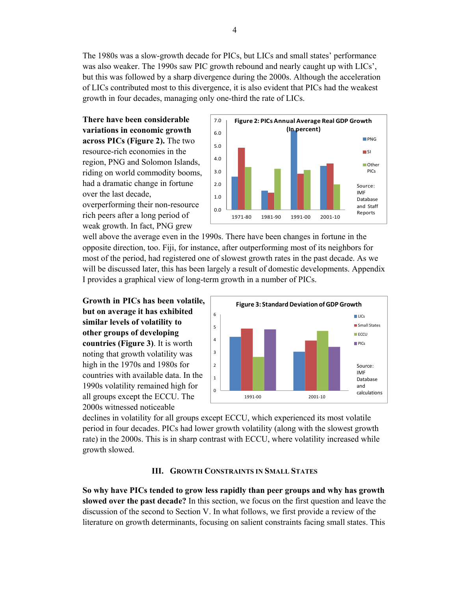The 1980s was a slow-growth decade for PICs, but LICs and small states' performance was also weaker. The 1990s saw PIC growth rebound and nearly caught up with LICs', but this was followed by a sharp divergence during the 2000s. Although the acceleration of LICs contributed most to this divergence, it is also evident that PICs had the weakest growth in four decades, managing only one-third the rate of LICs.

**There have been considerable variations in economic growth across PICs (Figure 2).** The two resource-rich economies in the region, PNG and Solomon Islands, riding on world commodity booms, had a dramatic change in fortune over the last decade, overperforming their non-resource rich peers after a long period of weak growth. In fact, PNG grew



well above the average even in the 1990s. There have been changes in fortune in the opposite direction, too. Fiji, for instance, after outperforming most of its neighbors for most of the period, had registered one of slowest growth rates in the past decade. As we will be discussed later, this has been largely a result of domestic developments. Appendix I provides a graphical view of long-term growth in a number of PICs.

**Growth in PICs has been volatile, but on average it has exhibited similar levels of volatility to other groups of developing countries (Figure 3)**. It is worth noting that growth volatility was high in the 1970s and 1980s for countries with available data. In the 1990s volatility remained high for all groups except the ECCU. The 2000s witnessed noticeable



declines in volatility for all groups except ECCU, which experienced its most volatile period in four decades. PICs had lower growth volatility (along with the slowest growth rate) in the 2000s. This is in sharp contrast with ECCU, where volatility increased while growth slowed.

#### **III. GROWTH CONSTRAINTS IN SMALL STATES**

**So why have PICs tended to grow less rapidly than peer groups and why has growth slowed over the past decade?** In this section, we focus on the first question and leave the discussion of the second to Section V. In what follows, we first provide a review of the literature on growth determinants, focusing on salient constraints facing small states. This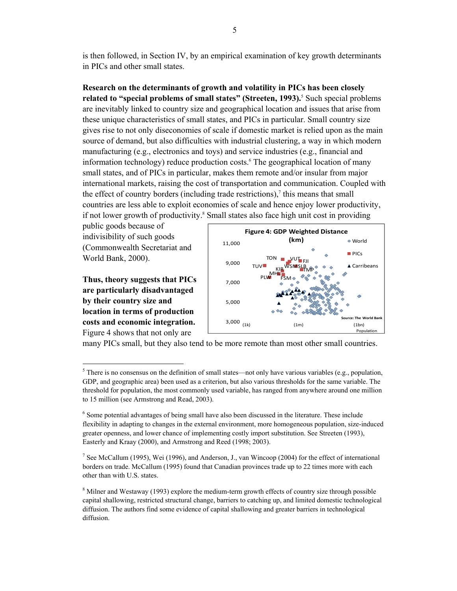is then followed, in Section IV, by an empirical examination of key growth determinants in PICs and other small states.

**Research on the determinants of growth and volatility in PICs has been closely**  related to "special problems of small states" (Streeten, 1993).<sup>5</sup> Such special problems are inevitably linked to country size and geographical location and issues that arise from these unique characteristics of small states, and PICs in particular. Small country size gives rise to not only diseconomies of scale if domestic market is relied upon as the main source of demand, but also difficulties with industrial clustering, a way in which modern manufacturing (e.g., electronics and toys) and service industries (e.g., financial and information technology) reduce production costs.<sup>6</sup> The geographical location of many small states, and of PICs in particular, makes them remote and/or insular from major international markets, raising the cost of transportation and communication. Coupled with the effect of country borders (including trade restrictions), $\delta$  this means that small countries are less able to exploit economies of scale and hence enjoy lower productivity, if not lower growth of productivity.<sup>8</sup> Small states also face high unit cost in providing

public goods because of indivisibility of such goods (Commonwealth Secretariat and World Bank, 2000).

**Thus, theory suggests that PICs are particularly disadvantaged by their country size and location in terms of production costs and economic integration.** Figure 4 shows that not only are

 $\overline{\phantom{a}}$ 



many PICs small, but they also tend to be more remote than most other small countries.

 $<sup>5</sup>$  There is no consensus on the definition of small states—not only have various variables (e.g., population,</sup> GDP, and geographic area) been used as a criterion, but also various thresholds for the same variable. The threshold for population, the most commonly used variable, has ranged from anywhere around one million to 15 million (see Armstrong and Read, 2003).

<sup>&</sup>lt;sup>6</sup> Some potential advantages of being small have also been discussed in the literature. These include flexibility in adapting to changes in the external environment, more homogeneous population, size-induced greater openness, and lower chance of implementing costly import substitution. See Streeten (1993), Easterly and Kraay (2000), and Armstrong and Reed (1998; 2003).

<sup>&</sup>lt;sup>7</sup> See McCallum (1995), Wei (1996), and Anderson, J., van Wincoop (2004) for the effect of international borders on trade. McCallum (1995) found that Canadian provinces trade up to 22 times more with each other than with U.S. states.

 $8$  Milner and Westaway (1993) explore the medium-term growth effects of country size through possible capital shallowing, restricted structural change, barriers to catching up, and limited domestic technological diffusion. The authors find some evidence of capital shallowing and greater barriers in technological diffusion.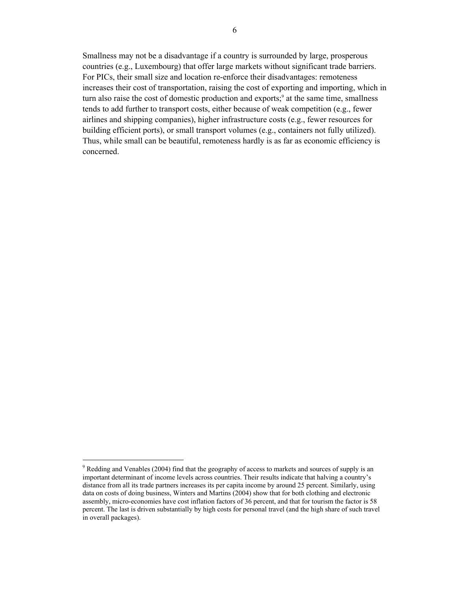Smallness may not be a disadvantage if a country is surrounded by large, prosperous countries (e.g., Luxembourg) that offer large markets without significant trade barriers. For PICs, their small size and location re-enforce their disadvantages: remoteness increases their cost of transportation, raising the cost of exporting and importing, which in turn also raise the cost of domestic production and exports;<sup>9</sup> at the same time, smallness tends to add further to transport costs, either because of weak competition (e.g., fewer airlines and shipping companies), higher infrastructure costs (e.g., fewer resources for building efficient ports), or small transport volumes (e.g., containers not fully utilized). Thus, while small can be beautiful, remoteness hardly is as far as economic efficiency is concerned.

 $9^9$  Redding and Venables (2004) find that the geography of access to markets and sources of supply is an important determinant of income levels across countries. Their results indicate that halving a country's distance from all its trade partners increases its per capita income by around 25 percent. Similarly, using data on costs of doing business, Winters and Martins (2004) show that for both clothing and electronic assembly, micro-economies have cost inflation factors of 36 percent, and that for tourism the factor is 58 percent. The last is driven substantially by high costs for personal travel (and the high share of such travel in overall packages).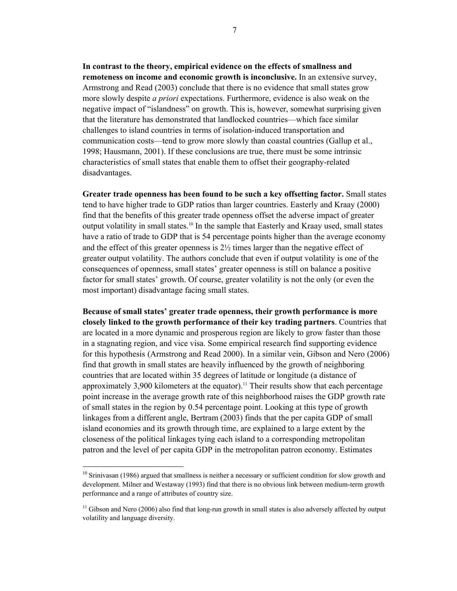**In contrast to the theory, empirical evidence on the effects of smallness and remoteness on income and economic growth is inconclusive.** In an extensive survey, Armstrong and Read (2003) conclude that there is no evidence that small states grow more slowly despite *a priori* expectations. Furthermore, evidence is also weak on the negative impact of "islandness" on growth. This is, however, somewhat surprising given that the literature has demonstrated that landlocked countries—which face similar challenges to island countries in terms of isolation-induced transportation and communication costs—tend to grow more slowly than coastal countries (Gallup et al., 1998; Hausmann, 2001). If these conclusions are true, there must be some intrinsic characteristics of small states that enable them to offset their geography-related disadvantages.

**Greater trade openness has been found to be such a key offsetting factor.** Small states tend to have higher trade to GDP ratios than larger countries. Easterly and Kraay (2000) find that the benefits of this greater trade openness offset the adverse impact of greater output volatility in small states.<sup>10</sup> In the sample that Easterly and Kraay used, small states have a ratio of trade to GDP that is 54 percentage points higher than the average economy and the effect of this greater openness is  $2\frac{1}{2}$  times larger than the negative effect of greater output volatility. The authors conclude that even if output volatility is one of the consequences of openness, small states' greater openness is still on balance a positive factor for small states' growth. Of course, greater volatility is not the only (or even the most important) disadvantage facing small states.

**Because of small states' greater trade openness, their growth performance is more closely linked to the growth performance of their key trading partners**. Countries that are located in a more dynamic and prosperous region are likely to grow faster than those in a stagnating region, and vice visa. Some empirical research find supporting evidence for this hypothesis (Armstrong and Read 2000). In a similar vein, Gibson and Nero (2006) find that growth in small states are heavily influenced by the growth of neighboring countries that are located within 35 degrees of latitude or longitude (a distance of approximately 3,900 kilometers at the equator).<sup>11</sup> Their results show that each percentage point increase in the average growth rate of this neighborhood raises the GDP growth rate of small states in the region by 0.54 percentage point. Looking at this type of growth linkages from a different angle, Bertram (2003) finds that the per capita GDP of small island economies and its growth through time, are explained to a large extent by the closeness of the political linkages tying each island to a corresponding metropolitan patron and the level of per capita GDP in the metropolitan patron economy. Estimates

 $10$  Srinivasan (1986) argued that smallness is neither a necessary or sufficient condition for slow growth and development. Milner and Westaway (1993) find that there is no obvious link between medium-term growth performance and a range of attributes of country size.

<sup>&</sup>lt;sup>11</sup> Gibson and Nero (2006) also find that long-run growth in small states is also adversely affected by output volatility and language diversity.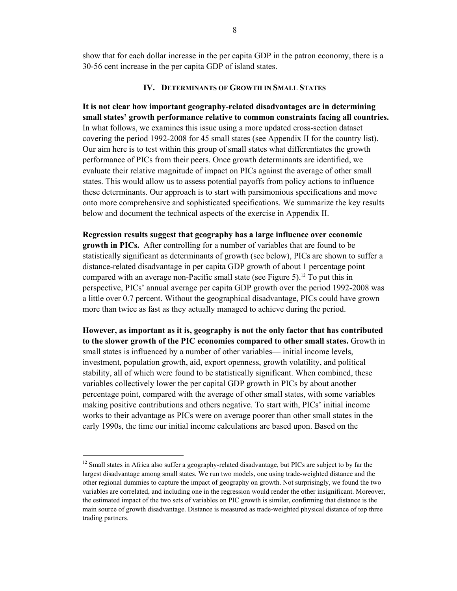show that for each dollar increase in the per capita GDP in the patron economy, there is a 30-56 cent increase in the per capita GDP of island states.

# **IV. DETERMINANTS OF GROWTH IN SMALL STATES**

**It is not clear how important geography-related disadvantages are in determining small states' growth performance relative to common constraints facing all countries.**  In what follows, we examines this issue using a more updated cross-section dataset covering the period 1992-2008 for 45 small states (see Appendix II for the country list). Our aim here is to test within this group of small states what differentiates the growth performance of PICs from their peers. Once growth determinants are identified, we evaluate their relative magnitude of impact on PICs against the average of other small states. This would allow us to assess potential payoffs from policy actions to influence these determinants. Our approach is to start with parsimonious specifications and move onto more comprehensive and sophisticated specifications. We summarize the key results below and document the technical aspects of the exercise in Appendix II.

**Regression results suggest that geography has a large influence over economic growth in PICs.** After controlling for a number of variables that are found to be statistically significant as determinants of growth (see below), PICs are shown to suffer a distance-related disadvantage in per capita GDP growth of about 1 percentage point compared with an average non-Pacific small state (see Figure 5).<sup>12</sup> To put this in perspective, PICs' annual average per capita GDP growth over the period 1992-2008 was a little over 0.7 percent. Without the geographical disadvantage, PICs could have grown more than twice as fast as they actually managed to achieve during the period.

**However, as important as it is, geography is not the only factor that has contributed to the slower growth of the PIC economies compared to other small states.** Growth in small states is influenced by a number of other variables— initial income levels, investment, population growth, aid, export openness, growth volatility, and political stability, all of which were found to be statistically significant. When combined, these variables collectively lower the per capital GDP growth in PICs by about another percentage point, compared with the average of other small states, with some variables making positive contributions and others negative. To start with, PICs' initial income works to their advantage as PICs were on average poorer than other small states in the early 1990s, the time our initial income calculations are based upon. Based on the

<sup>&</sup>lt;sup>12</sup> Small states in Africa also suffer a geography-related disadvantage, but PICs are subject to by far the largest disadvantage among small states. We run two models, one using trade-weighted distance and the other regional dummies to capture the impact of geography on growth. Not surprisingly, we found the two variables are correlated, and including one in the regression would render the other insignificant. Moreover, the estimated impact of the two sets of variables on PIC growth is similar, confirming that distance is the main source of growth disadvantage. Distance is measured as trade-weighted physical distance of top three trading partners.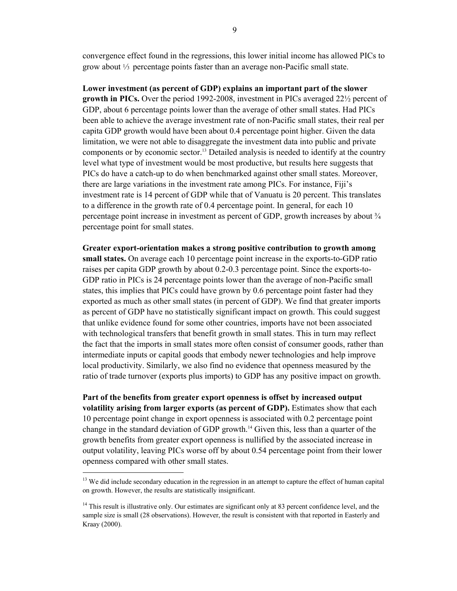convergence effect found in the regressions, this lower initial income has allowed PICs to grow about  $\frac{1}{3}$  percentage points faster than an average non-Pacific small state.

**Lower investment (as percent of GDP) explains an important part of the slower growth in PICs.** Over the period 1992-2008, investment in PICs averaged 22½ percent of GDP, about 6 percentage points lower than the average of other small states. Had PICs been able to achieve the average investment rate of non-Pacific small states, their real per capita GDP growth would have been about 0.4 percentage point higher. Given the data limitation, we were not able to disaggregate the investment data into public and private components or by economic sector.<sup>13</sup> Detailed analysis is needed to identify at the country level what type of investment would be most productive, but results here suggests that PICs do have a catch-up to do when benchmarked against other small states. Moreover, there are large variations in the investment rate among PICs. For instance, Fiji's investment rate is 14 percent of GDP while that of Vanuatu is 20 percent. This translates to a difference in the growth rate of 0.4 percentage point. In general, for each 10 percentage point increase in investment as percent of GDP, growth increases by about  $\frac{3}{4}$ percentage point for small states.

**Greater export-orientation makes a strong positive contribution to growth among small states.** On average each 10 percentage point increase in the exports-to-GDP ratio raises per capita GDP growth by about 0.2-0.3 percentage point. Since the exports-to-GDP ratio in PICs is 24 percentage points lower than the average of non-Pacific small states, this implies that PICs could have grown by 0.6 percentage point faster had they exported as much as other small states (in percent of GDP). We find that greater imports as percent of GDP have no statistically significant impact on growth. This could suggest that unlike evidence found for some other countries, imports have not been associated with technological transfers that benefit growth in small states. This in turn may reflect the fact that the imports in small states more often consist of consumer goods, rather than intermediate inputs or capital goods that embody newer technologies and help improve local productivity. Similarly, we also find no evidence that openness measured by the ratio of trade turnover (exports plus imports) to GDP has any positive impact on growth.

**Part of the benefits from greater export openness is offset by increased output volatility arising from larger exports (as percent of GDP).** Estimates show that each 10 percentage point change in export openness is associated with 0.2 percentage point change in the standard deviation of GDP growth.14 Given this, less than a quarter of the growth benefits from greater export openness is nullified by the associated increase in output volatility, leaving PICs worse off by about 0.54 percentage point from their lower openness compared with other small states.

<sup>&</sup>lt;sup>13</sup> We did include secondary education in the regression in an attempt to capture the effect of human capital on growth. However, the results are statistically insignificant.

<sup>&</sup>lt;sup>14</sup> This result is illustrative only. Our estimates are significant only at 83 percent confidence level, and the sample size is small (28 observations). However, the result is consistent with that reported in Easterly and Kraay (2000).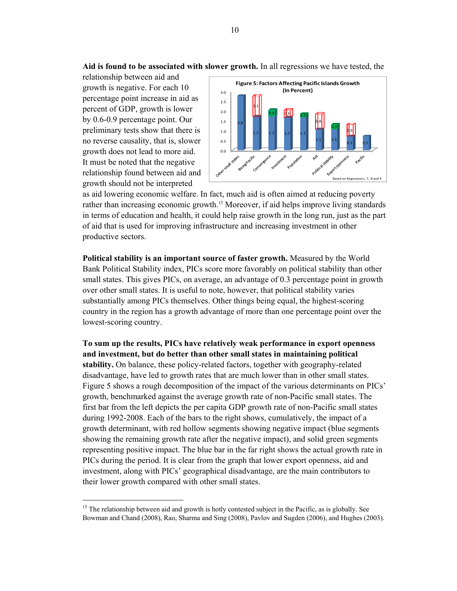**Aid is found to be associated with slower growth.** In all regressions we have tested, the

relationship between aid and growth is negative. For each 10 percentage point increase in aid as percent of GDP, growth is lower by 0.6-0.9 percentage point. Our preliminary tests show that there is no reverse causality, that is, slower growth does not lead to more aid. It must be noted that the negative relationship found between aid and growth should not be interpreted

 $\overline{\phantom{a}}$ 



as aid lowering economic welfare. In fact, much aid is often aimed at reducing poverty rather than increasing economic growth.<sup>15</sup> Moreover, if aid helps improve living standards in terms of education and health, it could help raise growth in the long run, just as the part of aid that is used for improving infrastructure and increasing investment in other productive sectors.

**Political stability is an important source of faster growth.** Measured by the World Bank Political Stability index, PICs score more favorably on political stability than other small states. This gives PICs, on average, an advantage of 0.3 percentage point in growth over other small states. It is useful to note, however, that political stability varies substantially among PICs themselves. Other things being equal, the highest-scoring country in the region has a growth advantage of more than one percentage point over the lowest-scoring country.

**To sum up the results, PICs have relatively weak performance in export openness and investment, but do better than other small states in maintaining political stability.** On balance, these policy-related factors, together with geography-related disadvantage, have led to growth rates that are much lower than in other small states. Figure 5 shows a rough decomposition of the impact of the various determinants on PICs' growth, benchmarked against the average growth rate of non-Pacific small states. The first bar from the left depicts the per capita GDP growth rate of non-Pacific small states during 1992-2008. Each of the bars to the right shows, cumulatively, the impact of a growth determinant, with red hollow segments showing negative impact (blue segments showing the remaining growth rate after the negative impact), and solid green segments representing positive impact. The blue bar in the far right shows the actual growth rate in PICs during the period. It is clear from the graph that lower export openness, aid and investment, along with PICs' geographical disadvantage, are the main contributors to their lower growth compared with other small states.

<sup>&</sup>lt;sup>15</sup> The relationship between aid and growth is hotly contested subject in the Pacific, as is globally. See Bowman and Chand (2008), Rao, Sharma and Sing (2008), Pavlov and Sugden (2006), and Hughes (2003).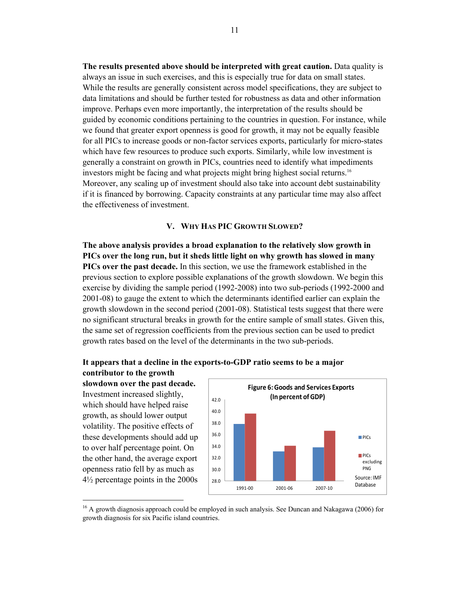**The results presented above should be interpreted with great caution.** Data quality is always an issue in such exercises, and this is especially true for data on small states. While the results are generally consistent across model specifications, they are subject to data limitations and should be further tested for robustness as data and other information improve. Perhaps even more importantly, the interpretation of the results should be guided by economic conditions pertaining to the countries in question. For instance, while we found that greater export openness is good for growth, it may not be equally feasible for all PICs to increase goods or non-factor services exports, particularly for micro-states which have few resources to produce such exports. Similarly, while low investment is generally a constraint on growth in PICs, countries need to identify what impediments investors might be facing and what projects might bring highest social returns.<sup>16</sup> Moreover, any scaling up of investment should also take into account debt sustainability if it is financed by borrowing. Capacity constraints at any particular time may also affect the effectiveness of investment.

# **V. WHY HAS PIC GROWTH SLOWED?**

**The above analysis provides a broad explanation to the relatively slow growth in PICs over the long run, but it sheds little light on why growth has slowed in many PICs over the past decade.** In this section, we use the framework established in the previous section to explore possible explanations of the growth slowdown. We begin this exercise by dividing the sample period (1992-2008) into two sub-periods (1992-2000 and 2001-08) to gauge the extent to which the determinants identified earlier can explain the growth slowdown in the second period (2001-08). Statistical tests suggest that there were no significant structural breaks in growth for the entire sample of small states. Given this, the same set of regression coefficients from the previous section can be used to predict growth rates based on the level of the determinants in the two sub-periods.

#### **It appears that a decline in the exports-to-GDP ratio seems to be a major**

**contributor to the growth slowdown over the past decade.** Investment increased slightly, which should have helped raise growth, as should lower output volatility. The positive effects of these developments should add up to over half percentage point. On the other hand, the average export openness ratio fell by as much as 4½ percentage points in the 2000s

 $\overline{\phantom{a}}$ 



<sup>&</sup>lt;sup>16</sup> A growth diagnosis approach could be employed in such analysis. See Duncan and Nakagawa (2006) for growth diagnosis for six Pacific island countries.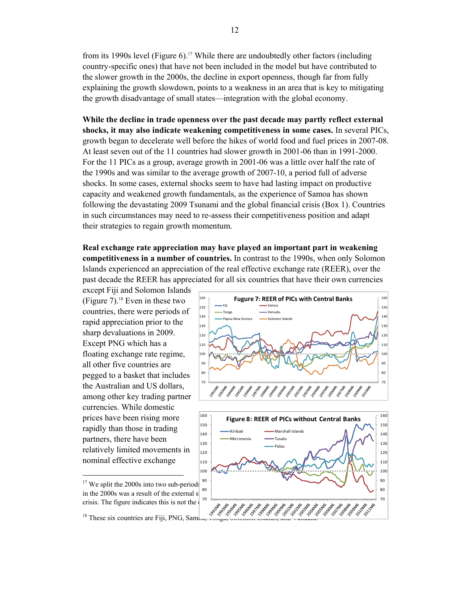from its 1990s level (Figure 6).<sup>17</sup> While there are undoubtedly other factors (including country-specific ones) that have not been included in the model but have contributed to the slower growth in the 2000s, the decline in export openness, though far from fully explaining the growth slowdown, points to a weakness in an area that is key to mitigating the growth disadvantage of small states—integration with the global economy.

**While the decline in trade openness over the past decade may partly reflect external shocks, it may also indicate weakening competitiveness in some cases.** In several PICs, growth began to decelerate well before the hikes of world food and fuel prices in 2007-08. At least seven out of the 11 countries had slower growth in 2001-06 than in 1991-2000. For the 11 PICs as a group, average growth in 2001-06 was a little over half the rate of the 1990s and was similar to the average growth of 2007-10, a period full of adverse shocks. In some cases, external shocks seem to have had lasting impact on productive capacity and weakened growth fundamentals, as the experience of Samoa has shown following the devastating 2009 Tsunami and the global financial crisis (Box 1). Countries in such circumstances may need to re-assess their competitiveness position and adapt their strategies to regain growth momentum.

**Real exchange rate appreciation may have played an important part in weakening competitiveness in a number of countries.** In contrast to the 1990s, when only Solomon Islands experienced an appreciation of the real effective exchange rate (REER), over the past decade the REER has appreciated for all six countries that have their own currencies

except Fiji and Solomon Islands (Figure 7).<sup>18</sup> Even in these two countries, there were periods of rapid appreciation prior to the sharp devaluations in 2009. Except PNG which has a floating exchange rate regime, all other five countries are pegged to a basket that includes the Australian and US dollars, among other key trading partner currencies. While domestic prices have been rising more rapidly than those in trading partners, there have been relatively limited movements in nominal effective exchange





 $17$  We split the 2000s into two sub-periods in the 2000s was a result of the external s crisis. The figure indicates this is not the  $\begin{bmatrix} 0 & \frac{1}{2} \\ 0 & \frac{1}{2} \\ \frac{1}{2} & \frac{1}{2} \end{bmatrix}$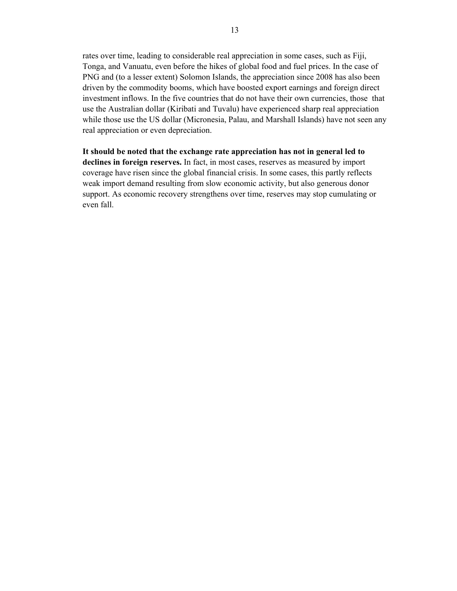rates over time, leading to considerable real appreciation in some cases, such as Fiji, Tonga, and Vanuatu, even before the hikes of global food and fuel prices. In the case of PNG and (to a lesser extent) Solomon Islands, the appreciation since 2008 has also been driven by the commodity booms, which have boosted export earnings and foreign direct investment inflows. In the five countries that do not have their own currencies, those that use the Australian dollar (Kiribati and Tuvalu) have experienced sharp real appreciation while those use the US dollar (Micronesia, Palau, and Marshall Islands) have not seen any real appreciation or even depreciation.

**It should be noted that the exchange rate appreciation has not in general led to declines in foreign reserves.** In fact, in most cases, reserves as measured by import coverage have risen since the global financial crisis. In some cases, this partly reflects weak import demand resulting from slow economic activity, but also generous donor support. As economic recovery strengthens over time, reserves may stop cumulating or even fall.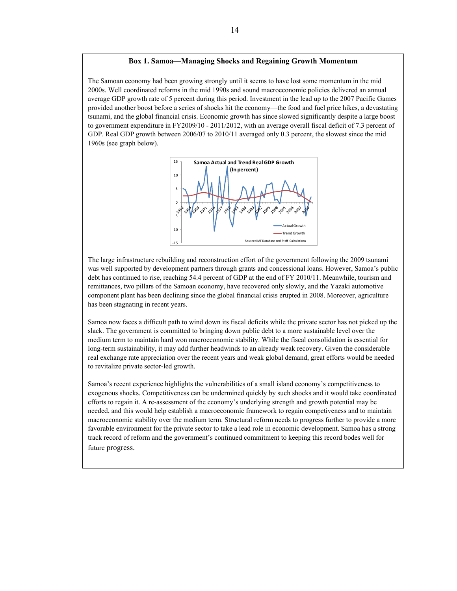#### **Box 1. Samoa—Managing Shocks and Regaining Growth Momentum**

The Samoan economy had been growing strongly until it seems to have lost some momentum in the mid 2000s. Well coordinated reforms in the mid 1990s and sound macroeconomic policies delivered an annual average GDP growth rate of 5 percent during this period. Investment in the lead up to the 2007 Pacific Games provided another boost before a series of shocks hit the economy—the food and fuel price hikes, a devastating tsunami, and the global financial crisis. Economic growth has since slowed significantly despite a large boost to government expenditure in FY2009/10 - 2011/2012, with an average overall fiscal deficit of 7.3 percent of GDP. Real GDP growth between 2006/07 to 2010/11 averaged only 0.3 percent, the slowest since the mid 1960s (see graph below).



The large infrastructure rebuilding and reconstruction effort of the government following the 2009 tsunami was well supported by development partners through grants and concessional loans. However, Samoa's public debt has continued to rise, reaching 54.4 percent of GDP at the end of FY 2010/11. Meanwhile, tourism and remittances, two pillars of the Samoan economy, have recovered only slowly, and the Yazaki automotive component plant has been declining since the global financial crisis erupted in 2008. Moreover, agriculture has been stagnating in recent years.

Samoa now faces a difficult path to wind down its fiscal deficits while the private sector has not picked up the slack. The government is committed to bringing down public debt to a more sustainable level over the medium term to maintain hard won macroeconomic stability. While the fiscal consolidation is essential for long-term sustainability, it may add further headwinds to an already weak recovery. Given the considerable real exchange rate appreciation over the recent years and weak global demand, great efforts would be needed to revitalize private sector-led growth.

Samoa's recent experience highlights the vulnerabilities of a small island economy's competitiveness to exogenous shocks. Competitiveness can be undermined quickly by such shocks and it would take coordinated efforts to regain it. A re-assessment of the economy's underlying strength and growth potential may be needed, and this would help establish a macroeconomic framework to regain competiveness and to maintain macroeconomic stability over the medium term. Structural reform needs to progress further to provide a more favorable environment for the private sector to take a lead role in economic development. Samoa has a strong track record of reform and the government's continued commitment to keeping this record bodes well for future progress.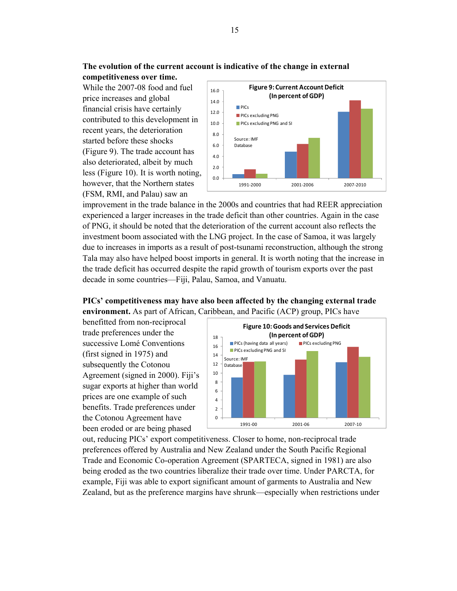**competitiveness over time.**  While the 2007-08 food and fuel price increases and global financial crisis have certainly contributed to this development in recent years, the deterioration started before these shocks (Figure 9). The trade account has also deteriorated, albeit by much less (Figure 10). It is worth noting, however, that the Northern states (FSM, RMI, and Palau) saw an



improvement in the trade balance in the 2000s and countries that had REER appreciation experienced a larger increases in the trade deficit than other countries. Again in the case of PNG, it should be noted that the deterioration of the current account also reflects the investment boom associated with the LNG project. In the case of Samoa, it was largely due to increases in imports as a result of post-tsunami reconstruction, although the strong Tala may also have helped boost imports in general. It is worth noting that the increase in the trade deficit has occurred despite the rapid growth of tourism exports over the past decade in some countries—Fiji, Palau, Samoa, and Vanuatu.

# **PICs' competitiveness may have also been affected by the changing external trade environment.** As part of African, Caribbean, and Pacific (ACP) group, PICs have

benefitted from non-reciprocal trade preferences under the successive Lomé Conventions (first signed in 1975) and subsequently the Cotonou Agreement (signed in 2000). Fiji's sugar exports at higher than world prices are one example of such benefits. Trade preferences under the Cotonou Agreement have been eroded or are being phased



out, reducing PICs' export competitiveness. Closer to home, non-reciprocal trade preferences offered by Australia and New Zealand under the South Pacific Regional Trade and Economic Co-operation Agreement (SPARTECA, signed in 1981) are also being eroded as the two countries liberalize their trade over time. Under PARCTA, for example, Fiji was able to export significant amount of garments to Australia and New Zealand, but as the preference margins have shrunk—especially when restrictions under

15

**The evolution of the current account is indicative of the change in external**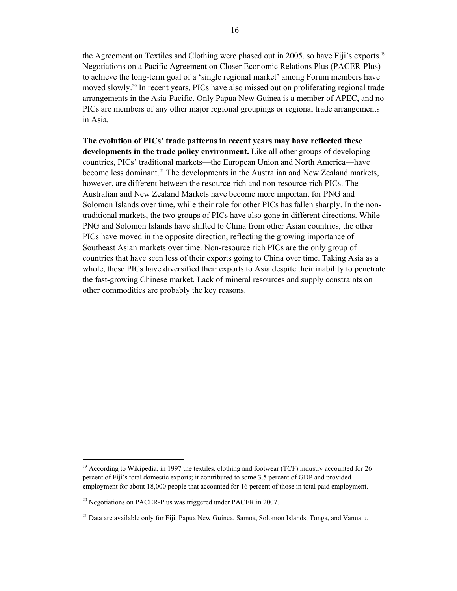the Agreement on Textiles and Clothing were phased out in 2005, so have Fiji's exports.19 Negotiations on a Pacific Agreement on Closer Economic Relations Plus (PACER-Plus) to achieve the long-term goal of a 'single regional market' among Forum members have moved slowly.20 In recent years, PICs have also missed out on proliferating regional trade arrangements in the Asia-Pacific. Only Papua New Guinea is a member of APEC, and no PICs are members of any other major regional groupings or regional trade arrangements in Asia.

**The evolution of PICs' trade patterns in recent years may have reflected these developments in the trade policy environment.** Like all other groups of developing countries, PICs' traditional markets—the European Union and North America—have become less dominant.<sup>21</sup> The developments in the Australian and New Zealand markets, however, are different between the resource-rich and non-resource-rich PICs. The Australian and New Zealand Markets have become more important for PNG and Solomon Islands over time, while their role for other PICs has fallen sharply. In the nontraditional markets, the two groups of PICs have also gone in different directions. While PNG and Solomon Islands have shifted to China from other Asian countries, the other PICs have moved in the opposite direction, reflecting the growing importance of Southeast Asian markets over time. Non-resource rich PICs are the only group of countries that have seen less of their exports going to China over time. Taking Asia as a whole, these PICs have diversified their exports to Asia despite their inability to penetrate the fast-growing Chinese market. Lack of mineral resources and supply constraints on other commodities are probably the key reasons.

<sup>&</sup>lt;sup>19</sup> According to Wikipedia, in 1997 the textiles, clothing and footwear (TCF) industry accounted for 26 percent of Fiji's total domestic exports; it contributed to some 3.5 percent of GDP and provided employment for about 18,000 people that accounted for 16 percent of those in total paid employment.

 $^{20}$  Negotiations on PACER-Plus was triggered under PACER in 2007.

<sup>&</sup>lt;sup>21</sup> Data are available only for Fiji, Papua New Guinea, Samoa, Solomon Islands, Tonga, and Vanuatu.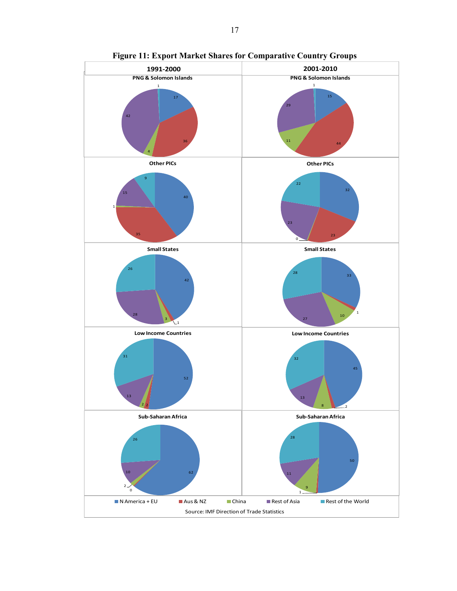

**Figure 11: Export Market Shares for Comparative Country Groups**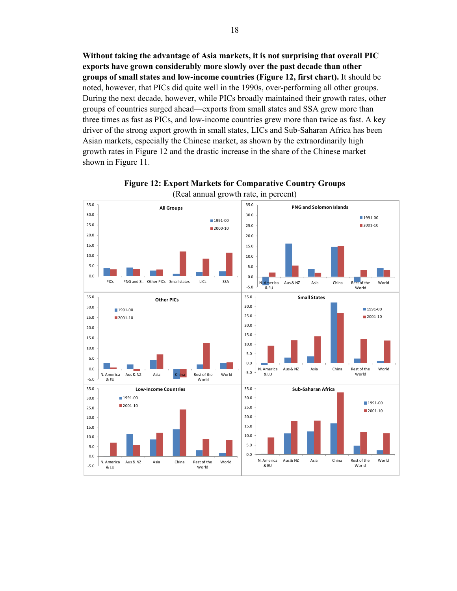**Without taking the advantage of Asia markets, it is not surprising that overall PIC exports have grown considerably more slowly over the past decade than other groups of small states and low-income countries (Figure 12, first chart).** It should be noted, however, that PICs did quite well in the 1990s, over-performing all other groups. During the next decade, however, while PICs broadly maintained their growth rates, other groups of countries surged ahead—exports from small states and SSA grew more than three times as fast as PICs, and low-income countries grew more than twice as fast. A key driver of the strong export growth in small states, LICs and Sub-Saharan Africa has been Asian markets, especially the Chinese market, as shown by the extraordinarily high growth rates in Figure 12 and the drastic increase in the share of the Chinese market shown in Figure 11.



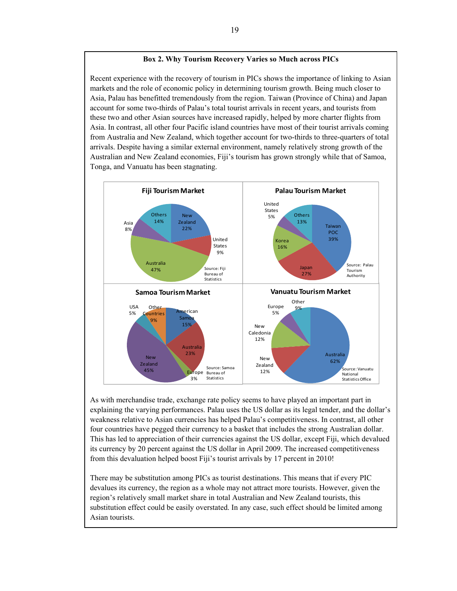#### **Box 2. Why Tourism Recovery Varies so Much across PICs**

Recent experience with the recovery of tourism in PICs shows the importance of linking to Asian markets and the role of economic policy in determining tourism growth. Being much closer to Asia, Palau has benefitted tremendously from the region. Taiwan (Province of China) and Japan account for some two-thirds of Palau's total tourist arrivals in recent years, and tourists from these two and other Asian sources have increased rapidly, helped by more charter flights from Asia. In contrast, all other four Pacific island countries have most of their tourist arrivals coming from Australia and New Zealand, which together account for two-thirds to three-quarters of total arrivals. Despite having a similar external environment, namely relatively strong growth of the Australian and New Zealand economies, Fiji's tourism has grown strongly while that of Samoa, Tonga, and Vanuatu has been stagnating.



As with merchandise trade, exchange rate policy seems to have played an important part in explaining the varying performances. Palau uses the US dollar as its legal tender, and the dollar's weakness relative to Asian currencies has helped Palau's competitiveness. In contrast, all other four countries have pegged their currency to a basket that includes the strong Australian dollar. This has led to appreciation of their currencies against the US dollar, except Fiji, which devalued its currency by 20 percent against the US dollar in April 2009. The increased competitiveness from this devaluation helped boost Fiji's tourist arrivals by 17 percent in 2010!

There may be substitution among PICs as tourist destinations. This means that if every PIC devalues its currency, the region as a whole may not attract more tourists. However, given the region's relatively small market share in total Australian and New Zealand tourists, this substitution effect could be easily overstated. In any case, such effect should be limited among Asian tourists.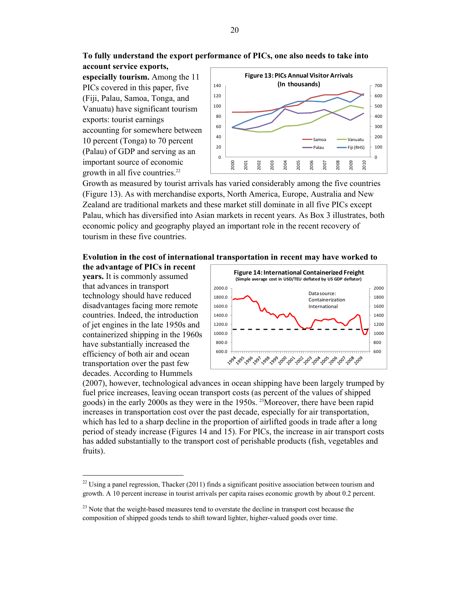**To fully understand the export performance of PICs, one also needs to take into account service exports,** 

**especially tourism.** Among the 11 PICs covered in this paper, five (Fiji, Palau, Samoa, Tonga, and Vanuatu) have significant tourism exports: tourist earnings accounting for somewhere between 10 percent (Tonga) to 70 percent (Palau) of GDP and serving as an important source of economic growth in all five countries.<sup>22</sup>



Growth as measured by tourist arrivals has varied considerably among the five countries (Figure 13). As with merchandise exports, North America, Europe, Australia and New Zealand are traditional markets and these market still dominate in all five PICs except Palau, which has diversified into Asian markets in recent years. As Box 3 illustrates, both economic policy and geography played an important role in the recent recovery of tourism in these five countries.

#### **Evolution in the cost of international transportation in recent may have worked to**

**the advantage of PICs in recent years.** It is commonly assumed that advances in transport technology should have reduced disadvantages facing more remote countries. Indeed, the introduction of jet engines in the late 1950s and containerized shipping in the 1960s have substantially increased the efficiency of both air and ocean transportation over the past few decades. According to Hummels



(2007), however, technological advances in ocean shipping have been largely trumped by fuel price increases, leaving ocean transport costs (as percent of the values of shipped goods) in the early 2000s as they were in the 1950s. <sup>23</sup>Moreover, there have been rapid increases in transportation cost over the past decade, especially for air transportation, which has led to a sharp decline in the proportion of airlifted goods in trade after a long period of steady increase (Figures 14 and 15). For PICs, the increase in air transport costs has added substantially to the transport cost of perishable products (fish, vegetables and fruits).

 $^{22}$  Using a panel regression, Thacker (2011) finds a significant positive association between tourism and growth. A 10 percent increase in tourist arrivals per capita raises economic growth by about 0.2 percent.

<sup>&</sup>lt;sup>23</sup> Note that the weight-based measures tend to overstate the decline in transport cost because the composition of shipped goods tends to shift toward lighter, higher-valued goods over time.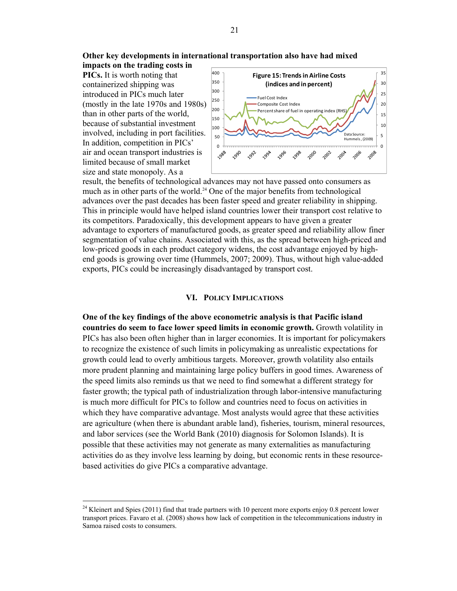**Other key developments in international transportation also have had mixed impacts on the trading costs in** 

**PICs.** It is worth noting that containerized shipping was introduced in PICs much later (mostly in the late 1970s and 1980s) than in other parts of the world, because of substantial investment involved, including in port facilities. In addition, competition in PICs' air and ocean transport industries is limited because of small market size and state monopoly. As a

 $\overline{\phantom{a}}$ 



result, the benefits of technological advances may not have passed onto consumers as much as in other parts of the world.<sup>24</sup> One of the major benefits from technological advances over the past decades has been faster speed and greater reliability in shipping. This in principle would have helped island countries lower their transport cost relative to its competitors. Paradoxically, this development appears to have given a greater advantage to exporters of manufactured goods, as greater speed and reliability allow finer segmentation of value chains. Associated with this, as the spread between high-priced and low-priced goods in each product category widens, the cost advantage enjoyed by highend goods is growing over time (Hummels, 2007; 2009). Thus, without high value-added exports, PICs could be increasingly disadvantaged by transport cost.

#### **VI. POLICY IMPLICATIONS**

**One of the key findings of the above econometric analysis is that Pacific island countries do seem to face lower speed limits in economic growth.** Growth volatility in PICs has also been often higher than in larger economies. It is important for policymakers to recognize the existence of such limits in policymaking as unrealistic expectations for growth could lead to overly ambitious targets. Moreover, growth volatility also entails more prudent planning and maintaining large policy buffers in good times. Awareness of the speed limits also reminds us that we need to find somewhat a different strategy for faster growth; the typical path of industrialization through labor-intensive manufacturing is much more difficult for PICs to follow and countries need to focus on activities in which they have comparative advantage. Most analysts would agree that these activities are agriculture (when there is abundant arable land), fisheries, tourism, mineral resources, and labor services (see the World Bank (2010) diagnosis for Solomon Islands). It is possible that these activities may not generate as many externalities as manufacturing activities do as they involve less learning by doing, but economic rents in these resourcebased activities do give PICs a comparative advantage.

<sup>&</sup>lt;sup>24</sup> Kleinert and Spies (2011) find that trade partners with 10 percent more exports enjoy 0.8 percent lower transport prices. Favaro et al. (2008) shows how lack of competition in the telecommunications industry in Samoa raised costs to consumers.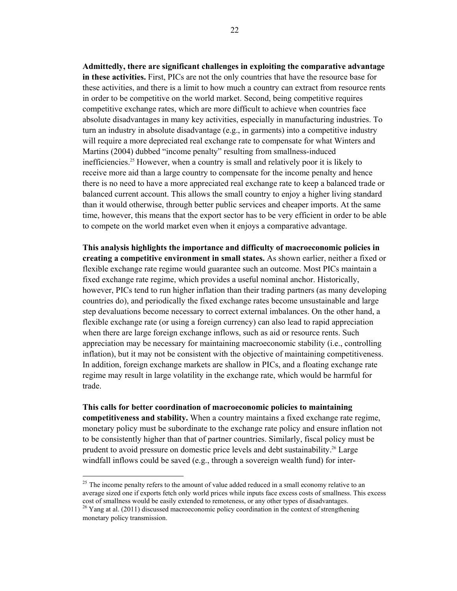**Admittedly, there are significant challenges in exploiting the comparative advantage in these activities.** First, PICs are not the only countries that have the resource base for these activities, and there is a limit to how much a country can extract from resource rents in order to be competitive on the world market. Second, being competitive requires competitive exchange rates, which are more difficult to achieve when countries face absolute disadvantages in many key activities, especially in manufacturing industries. To turn an industry in absolute disadvantage (e.g., in garments) into a competitive industry will require a more depreciated real exchange rate to compensate for what Winters and Martins (2004) dubbed "income penalty" resulting from smallness-induced inefficiencies.25 However, when a country is small and relatively poor it is likely to receive more aid than a large country to compensate for the income penalty and hence there is no need to have a more appreciated real exchange rate to keep a balanced trade or balanced current account. This allows the small country to enjoy a higher living standard than it would otherwise, through better public services and cheaper imports. At the same time, however, this means that the export sector has to be very efficient in order to be able to compete on the world market even when it enjoys a comparative advantage.

**This analysis highlights the importance and difficulty of macroeconomic policies in creating a competitive environment in small states.** As shown earlier, neither a fixed or flexible exchange rate regime would guarantee such an outcome. Most PICs maintain a fixed exchange rate regime, which provides a useful nominal anchor. Historically, however, PICs tend to run higher inflation than their trading partners (as many developing countries do), and periodically the fixed exchange rates become unsustainable and large step devaluations become necessary to correct external imbalances. On the other hand, a flexible exchange rate (or using a foreign currency) can also lead to rapid appreciation when there are large foreign exchange inflows, such as aid or resource rents. Such appreciation may be necessary for maintaining macroeconomic stability (i.e., controlling inflation), but it may not be consistent with the objective of maintaining competitiveness. In addition, foreign exchange markets are shallow in PICs, and a floating exchange rate regime may result in large volatility in the exchange rate, which would be harmful for trade.

**This calls for better coordination of macroeconomic policies to maintaining competitiveness and stability.** When a country maintains a fixed exchange rate regime, monetary policy must be subordinate to the exchange rate policy and ensure inflation not to be consistently higher than that of partner countries. Similarly, fiscal policy must be prudent to avoid pressure on domestic price levels and debt sustainability.<sup>26</sup> Large windfall inflows could be saved (e.g., through a sovereign wealth fund) for inter-

<sup>&</sup>lt;sup>25</sup> The income penalty refers to the amount of value added reduced in a small economy relative to an average sized one if exports fetch only world prices while inputs face excess costs of smallness. This excess cost of smallness would be easily extended to remoteness, or any other types of disadvantages.

<sup>&</sup>lt;sup>26</sup> Yang at al. (2011) discussed macroeconomic policy coordination in the context of strengthening monetary policy transmission.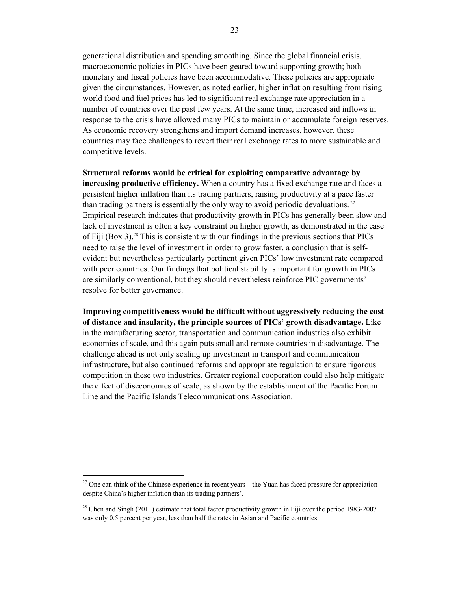generational distribution and spending smoothing. Since the global financial crisis, macroeconomic policies in PICs have been geared toward supporting growth; both monetary and fiscal policies have been accommodative. These policies are appropriate given the circumstances. However, as noted earlier, higher inflation resulting from rising world food and fuel prices has led to significant real exchange rate appreciation in a number of countries over the past few years. At the same time, increased aid inflows in response to the crisis have allowed many PICs to maintain or accumulate foreign reserves. As economic recovery strengthens and import demand increases, however, these countries may face challenges to revert their real exchange rates to more sustainable and competitive levels.

**Structural reforms would be critical for exploiting comparative advantage by increasing productive efficiency.** When a country has a fixed exchange rate and faces a persistent higher inflation than its trading partners, raising productivity at a pace faster than trading partners is essentially the only way to avoid periodic devaluations.<sup>27</sup> Empirical research indicates that productivity growth in PICs has generally been slow and lack of investment is often a key constraint on higher growth, as demonstrated in the case of Fiji (Box 3).<sup>28</sup> This is consistent with our findings in the previous sections that PICs need to raise the level of investment in order to grow faster, a conclusion that is selfevident but nevertheless particularly pertinent given PICs' low investment rate compared with peer countries. Our findings that political stability is important for growth in PICs are similarly conventional, but they should nevertheless reinforce PIC governments' resolve for better governance.

**Improving competitiveness would be difficult without aggressively reducing the cost of distance and insularity, the principle sources of PICs' growth disadvantage.** Like in the manufacturing sector, transportation and communication industries also exhibit economies of scale, and this again puts small and remote countries in disadvantage. The challenge ahead is not only scaling up investment in transport and communication infrastructure, but also continued reforms and appropriate regulation to ensure rigorous competition in these two industries. Greater regional cooperation could also help mitigate the effect of diseconomies of scale, as shown by the establishment of the Pacific Forum Line and the Pacific Islands Telecommunications Association.

 $27$  One can think of the Chinese experience in recent years—the Yuan has faced pressure for appreciation despite China's higher inflation than its trading partners'.

<sup>&</sup>lt;sup>28</sup> Chen and Singh (2011) estimate that total factor productivity growth in Fiji over the period 1983-2007 was only 0.5 percent per year, less than half the rates in Asian and Pacific countries.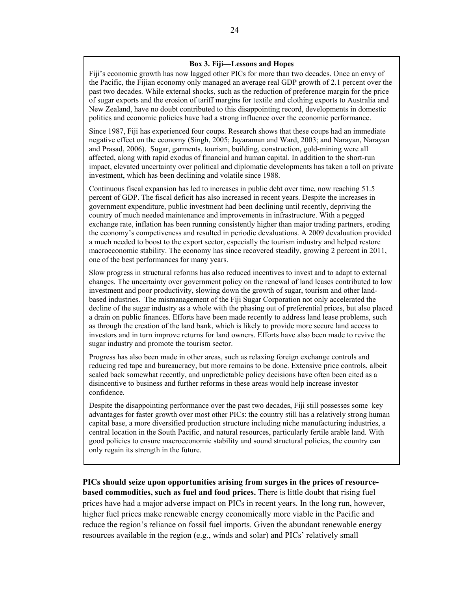### **Box 3. Fiji—Lessons and Hopes**

Fiji's economic growth has now lagged other PICs for more than two decades. Once an envy of the Pacific, the Fijian economy only managed an average real GDP growth of 2.1 percent over the past two decades. While external shocks, such as the reduction of preference margin for the price of sugar exports and the erosion of tariff margins for textile and clothing exports to Australia and New Zealand, have no doubt contributed to this disappointing record, developments in domestic politics and economic policies have had a strong influence over the economic performance.

Since 1987, Fiji has experienced four coups. Research shows that these coups had an immediate negative effect on the economy (Singh, 2005; Jayaraman and Ward, 2003; and Narayan, Narayan and Prasad, 2006). Sugar, garments, tourism, building, construction, gold-mining were all affected, along with rapid exodus of financial and human capital. In addition to the short-run impact, elevated uncertainty over political and diplomatic developments has taken a toll on private investment, which has been declining and volatile since 1988.

Continuous fiscal expansion has led to increases in public debt over time, now reaching 51.5 percent of GDP. The fiscal deficit has also increased in recent years. Despite the increases in government expenditure, public investment had been declining until recently, depriving the country of much needed maintenance and improvements in infrastructure. With a pegged exchange rate, inflation has been running consistently higher than major trading partners, eroding the economy's competiveness and resulted in periodic devaluations. A 2009 devaluation provided a much needed to boost to the export sector, especially the tourism industry and helped restore macroeconomic stability. The economy has since recovered steadily, growing 2 percent in 2011, one of the best performances for many years.

Slow progress in structural reforms has also reduced incentives to invest and to adapt to external changes. The uncertainty over government policy on the renewal of land leases contributed to low investment and poor productivity, slowing down the growth of sugar, tourism and other landbased industries. The mismanagement of the Fiji Sugar Corporation not only accelerated the decline of the sugar industry as a whole with the phasing out of preferential prices, but also placed a drain on public finances. Efforts have been made recently to address land lease problems, such as through the creation of the land bank, which is likely to provide more secure land access to investors and in turn improve returns for land owners. Efforts have also been made to revive the sugar industry and promote the tourism sector.

Progress has also been made in other areas, such as relaxing foreign exchange controls and reducing red tape and bureaucracy, but more remains to be done. Extensive price controls, albeit scaled back somewhat recently, and unpredictable policy decisions have often been cited as a disincentive to business and further reforms in these areas would help increase investor confidence.

Despite the disappointing performance over the past two decades, Fiji still possesses some key advantages for faster growth over most other PICs: the country still has a relatively strong human capital base, a more diversified production structure including niche manufacturing industries, a central location in the South Pacific, and natural resources, particularly fertile arable land. With good policies to ensure macroeconomic stability and sound structural policies, the country can only regain its strength in the future.

**PICs should seize upon opportunities arising from surges in the prices of resourcebased commodities, such as fuel and food prices.** There is little doubt that rising fuel prices have had a major adverse impact on PICs in recent years. In the long run, however, higher fuel prices make renewable energy economically more viable in the Pacific and reduce the region's reliance on fossil fuel imports. Given the abundant renewable energy resources available in the region (e.g., winds and solar) and PICs' relatively small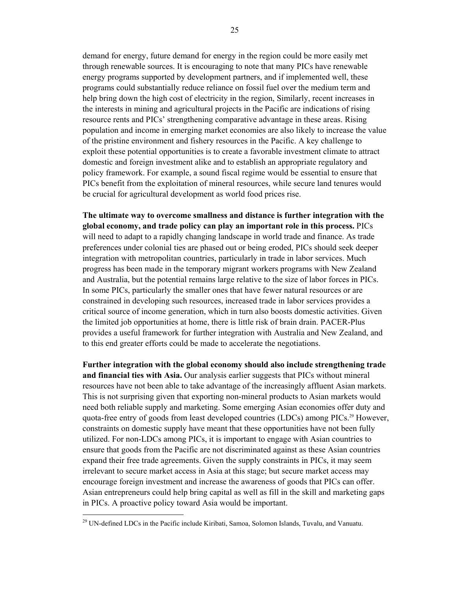demand for energy, future demand for energy in the region could be more easily met through renewable sources. It is encouraging to note that many PICs have renewable energy programs supported by development partners, and if implemented well, these programs could substantially reduce reliance on fossil fuel over the medium term and help bring down the high cost of electricity in the region, Similarly, recent increases in the interests in mining and agricultural projects in the Pacific are indications of rising resource rents and PICs' strengthening comparative advantage in these areas. Rising population and income in emerging market economies are also likely to increase the value of the pristine environment and fishery resources in the Pacific. A key challenge to exploit these potential opportunities is to create a favorable investment climate to attract domestic and foreign investment alike and to establish an appropriate regulatory and policy framework. For example, a sound fiscal regime would be essential to ensure that PICs benefit from the exploitation of mineral resources, while secure land tenures would be crucial for agricultural development as world food prices rise.

**The ultimate way to overcome smallness and distance is further integration with the global economy, and trade policy can play an important role in this process.** PICs will need to adapt to a rapidly changing landscape in world trade and finance. As trade preferences under colonial ties are phased out or being eroded, PICs should seek deeper integration with metropolitan countries, particularly in trade in labor services. Much progress has been made in the temporary migrant workers programs with New Zealand and Australia, but the potential remains large relative to the size of labor forces in PICs. In some PICs, particularly the smaller ones that have fewer natural resources or are constrained in developing such resources, increased trade in labor services provides a critical source of income generation, which in turn also boosts domestic activities. Given the limited job opportunities at home, there is little risk of brain drain. PACER-Plus provides a useful framework for further integration with Australia and New Zealand, and to this end greater efforts could be made to accelerate the negotiations.

**Further integration with the global economy should also include strengthening trade and financial ties with Asia.** Our analysis earlier suggests that PICs without mineral resources have not been able to take advantage of the increasingly affluent Asian markets. This is not surprising given that exporting non-mineral products to Asian markets would need both reliable supply and marketing. Some emerging Asian economies offer duty and quota-free entry of goods from least developed countries (LDCs) among PICs.<sup>29</sup> However, constraints on domestic supply have meant that these opportunities have not been fully utilized. For non-LDCs among PICs, it is important to engage with Asian countries to ensure that goods from the Pacific are not discriminated against as these Asian countries expand their free trade agreements. Given the supply constraints in PICs, it may seem irrelevant to secure market access in Asia at this stage; but secure market access may encourage foreign investment and increase the awareness of goods that PICs can offer. Asian entrepreneurs could help bring capital as well as fill in the skill and marketing gaps in PICs. A proactive policy toward Asia would be important.

 $\overline{\phantom{a}}$ 

<sup>&</sup>lt;sup>29</sup> UN-defined LDCs in the Pacific include Kiribati, Samoa, Solomon Islands, Tuvalu, and Vanuatu.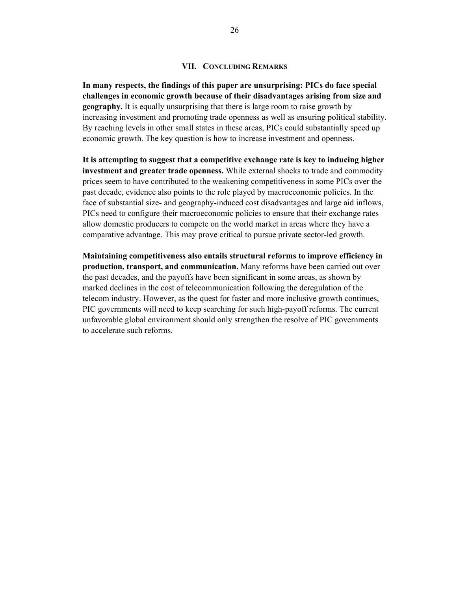#### **VII. CONCLUDING REMARKS**

**In many respects, the findings of this paper are unsurprising: PICs do face special challenges in economic growth because of their disadvantages arising from size and geography.** It is equally unsurprising that there is large room to raise growth by increasing investment and promoting trade openness as well as ensuring political stability. By reaching levels in other small states in these areas, PICs could substantially speed up economic growth. The key question is how to increase investment and openness.

**It is attempting to suggest that a competitive exchange rate is key to inducing higher investment and greater trade openness.** While external shocks to trade and commodity prices seem to have contributed to the weakening competitiveness in some PICs over the past decade, evidence also points to the role played by macroeconomic policies. In the face of substantial size- and geography-induced cost disadvantages and large aid inflows, PICs need to configure their macroeconomic policies to ensure that their exchange rates allow domestic producers to compete on the world market in areas where they have a comparative advantage. This may prove critical to pursue private sector-led growth.

**Maintaining competitiveness also entails structural reforms to improve efficiency in production, transport, and communication.** Many reforms have been carried out over the past decades, and the payoffs have been significant in some areas, as shown by marked declines in the cost of telecommunication following the deregulation of the telecom industry. However, as the quest for faster and more inclusive growth continues, PIC governments will need to keep searching for such high-payoff reforms. The current unfavorable global environment should only strengthen the resolve of PIC governments to accelerate such reforms.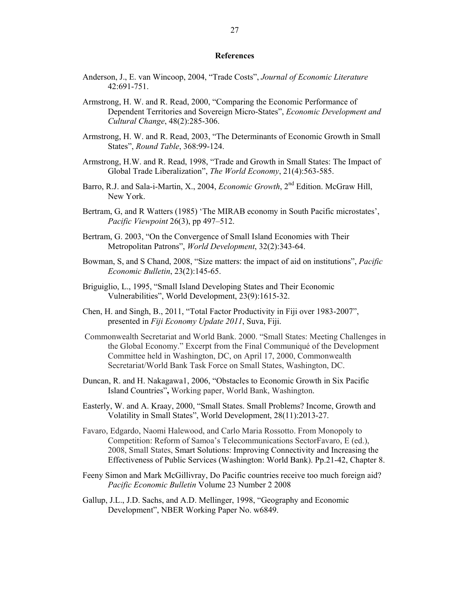#### **References**

- Anderson, J., E. van Wincoop, 2004, "Trade Costs", *Journal of Economic Literature*  42:691-751.
- Armstrong, H. W. and R. Read, 2000, "Comparing the Economic Performance of Dependent Territories and Sovereign Micro-States", *Economic Development and Cultural Change*, 48(2):285-306.
- Armstrong, H. W. and R. Read, 2003, "The Determinants of Economic Growth in Small States", *Round Table*, 368:99-124.
- Armstrong, H.W. and R. Read, 1998, "Trade and Growth in Small States: The Impact of Global Trade Liberalization", *The World Economy*, 21(4):563-585.
- Barro, R.J. and Sala-i-Martin, X., 2004, *Economic Growth*, 2<sup>nd</sup> Edition. McGraw Hill, New York.
- Bertram, G, and R Watters (1985) 'The MIRAB economy in South Pacific microstates', *Pacific Viewpoint* 26(3), pp 497–512.
- Bertram, G. 2003, "On the Convergence of Small Island Economies with Their Metropolitan Patrons", *World Development*, 32(2):343-64.
- Bowman, S, and S Chand, 2008, "Size matters: the impact of aid on institutions", *Pacific Economic Bulletin*, 23(2):145-65.
- Briguiglio, L., 1995, "Small Island Developing States and Their Economic Vulnerabilities", World Development, 23(9):1615-32.
- Chen, H. and Singh, B., 2011, "Total Factor Productivity in Fiji over 1983-2007", presented in *Fiji Economy Update 2011*, Suva, Fiji.
- Commonwealth Secretariat and World Bank. 2000. "Small States: Meeting Challenges in the Global Economy." Excerpt from the Final Communiqué of the Development Committee held in Washington, DC, on April 17, 2000, Commonwealth Secretariat/World Bank Task Force on Small States, Washington, DC.
- Duncan, R. and H. Nakagawa1, 2006, "Obstacles to Economic Growth in Six Pacific Island Countries"**,** Working paper, World Bank, Washington.
- Easterly, W. and A. Kraay, 2000, "Small States. Small Problems? Income, Growth and Volatility in Small States", World Development, 28(11):2013-27.
- Favaro, Edgardo, Naomi Halewood, and Carlo Maria Rossotto. From Monopoly to Competition: Reform of Samoa's Telecommunications SectorFavaro, E (ed.), 2008, Small States, Smart Solutions: Improving Connectivity and Increasing the Effectiveness of Public Services (Washington: World Bank). Pp.21-42, Chapter 8.
- Feeny Simon and Mark McGillivray, Do Pacific countries receive too much foreign aid? *Pacific Economic Bulletin* Volume 23 Number 2 2008
- Gallup, J.L., J.D. Sachs, and A.D. Mellinger, 1998, "Geography and Economic Development", NBER Working Paper No. w6849.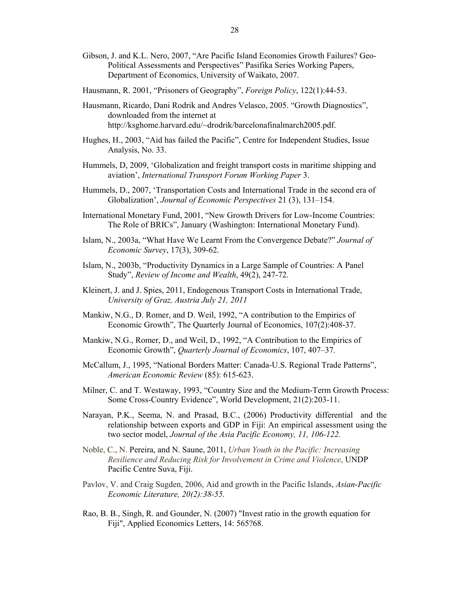- Gibson, J. and K.L. Nero, 2007, "Are Pacific Island Economies Growth Failures? Geo-Political Assessments and Perspectives" Pasifika Series Working Papers, Department of Economics, University of Waikato, 2007.
- Hausmann, R. 2001, "Prisoners of Geography", *Foreign Policy*, 122(1):44-53.
- Hausmann, Ricardo, Dani Rodrik and Andres Velasco, 2005. "Growth Diagnostics", downloaded from the internet at http://ksghome.harvard.edu/~drodrik/barcelonafinalmarch2005.pdf.
- Hughes, H., 2003, "Aid has failed the Pacific", Centre for Independent Studies, Issue Analysis, No. 33.
- Hummels, D, 2009, 'Globalization and freight transport costs in maritime shipping and aviation', *International Transport Forum Working Paper* 3.
- Hummels, D., 2007, 'Transportation Costs and International Trade in the second era of Globalization', *Journal of Economic Perspectives* 21 (3), 131–154.
- International Monetary Fund, 2001, "New Growth Drivers for Low-Income Countries: The Role of BRICs", January (Washington: International Monetary Fund).
- Islam, N., 2003a, "What Have We Learnt From the Convergence Debate?" *Journal of Economic Survey*, 17(3), 309-62.
- Islam, N., 2003b, "Productivity Dynamics in a Large Sample of Countries: A Panel Study", *Review of Income and Wealth*, 49(2), 247-72.
- Kleinert, J. and J. Spies, 2011, Endogenous Transport Costs in International Trade, *University of Graz, Austria July 21, 2011*
- Mankiw, N.G., D. Romer, and D. Weil, 1992, "A contribution to the Empirics of Economic Growth", The Quarterly Journal of Economics, 107(2):408-37.
- Mankiw, N.G., Romer, D., and Weil, D., 1992, "A Contribution to the Empirics of Economic Growth", *Quarterly Journal of Economics*, 107, 407–37.
- McCallum, J., 1995, "National Borders Matter: Canada-U.S. Regional Trade Patterns", *American Economic Review* (85): 615-623.
- Milner, C. and T. Westaway, 1993, "Country Size and the Medium-Term Growth Process: Some Cross-Country Evidence", World Development, 21(2):203-11.
- Narayan, P.K., Seema, N. and Prasad, B.C., (2006) Productivity differential and the relationship between exports and GDP in Fiji: An empirical assessment using the two sector model, *Journal of the Asia Pacific Economy, 11, 106-122.*
- Noble, C., N. Pereira, and N. Saune, 2011, *Urban Youth in the Pacific: Increasing Resilience and Reducing Risk for Involvement in Crime and Violence*, UNDP Pacific Centre Suva, Fiji.
- Pavlov, V. and Craig Sugden, 2006, Aid and growth in the Pacific Islands, *Asian-Pacific Economic Literature, 20(2):38-55.*
- Rao, B. B., Singh, R. and Gounder, N. (2007) "Invest ratio in the growth equation for Fiji", Applied Economics Letters, 14: 565?68.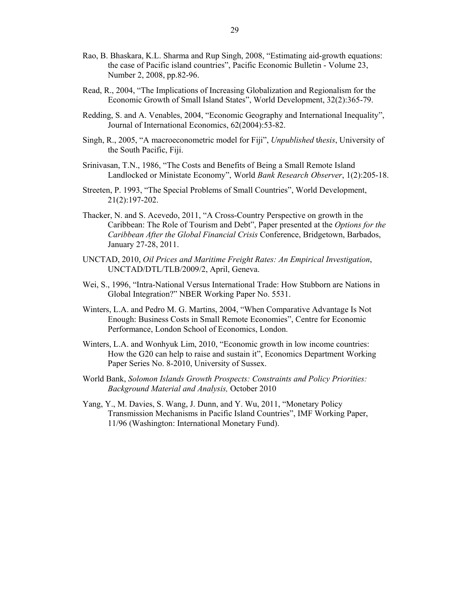- Rao, B. Bhaskara, K.L. Sharma and Rup Singh, 2008, "Estimating aid-growth equations: the case of Pacific island countries", Pacific Economic Bulletin - Volume 23, Number 2, 2008, pp.82-96.
- Read, R., 2004, "The Implications of Increasing Globalization and Regionalism for the Economic Growth of Small Island States", World Development, 32(2):365-79.
- Redding, S. and A. Venables, 2004, "Economic Geography and International Inequality", Journal of International Economics, 62(2004):53-82.
- Singh, R., 2005, "A macroeconometric model for Fiji", *Unpublished* t*hesis*, University of the South Pacific, Fiji.
- Srinivasan, T.N., 1986, "The Costs and Benefits of Being a Small Remote Island Landlocked or Ministate Economy", World *Bank Research Observer*, 1(2):205-18.
- Streeten, P. 1993, "The Special Problems of Small Countries", World Development, 21(2):197-202.
- Thacker, N. and S. Acevedo, 2011, "A Cross-Country Perspective on growth in the Caribbean: The Role of Tourism and Debt", Paper presented at the *Options for the Caribbean After the Global Financial Crisis* Conference, Bridgetown, Barbados, January 27-28, 2011.
- UNCTAD, 2010, *Oil Prices and Maritime Freight Rates: An Empirical Investigation*, UNCTAD/DTL/TLB/2009/2, April, Geneva.
- Wei, S., 1996, "Intra-National Versus International Trade: How Stubborn are Nations in Global Integration?" NBER Working Paper No. 5531.
- Winters, L.A. and Pedro M. G. Martins, 2004, "When Comparative Advantage Is Not Enough: Business Costs in Small Remote Economies", Centre for Economic Performance, London School of Economics, London.
- Winters, L.A. and Wonhyuk Lim, 2010, "Economic growth in low income countries: How the G20 can help to raise and sustain it", Economics Department Working Paper Series No. 8-2010, University of Sussex.
- World Bank, *Solomon Islands Growth Prospects: Constraints and Policy Priorities: Background Material and Analysis,* October 2010
- Yang, Y., M. Davies, S. Wang, J. Dunn, and Y. Wu, 2011, "Monetary Policy Transmission Mechanisms in Pacific Island Countries", IMF Working Paper, 11/96 (Washington: International Monetary Fund).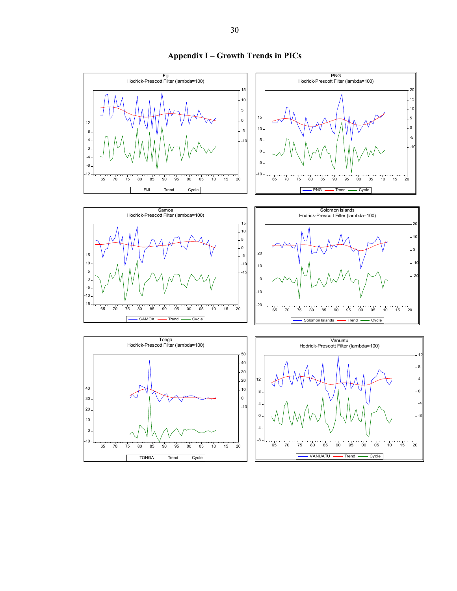

# **Appendix I – Growth Trends in PICs**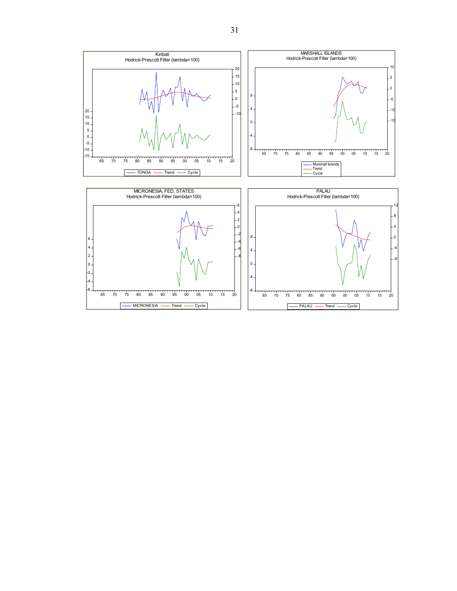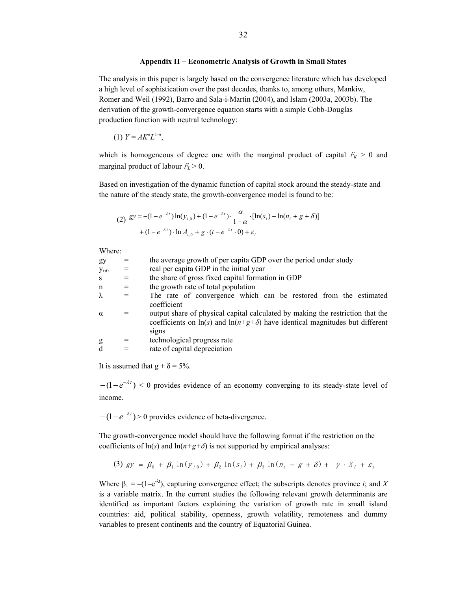#### **Appendix II** – **Econometric Analysis of Growth in Small States**

The analysis in this paper is largely based on the convergence literature which has developed a high level of sophistication over the past decades, thanks to, among others, Mankiw, Romer and Weil (1992), Barro and Sala-i-Martin (2004), and Islam (2003a, 2003b). The derivation of the growth-convergence equation starts with a simple Cobb-Douglas production function with neutral technology:

(1)  $Y = AK^{\alpha}L^{1-\alpha}$ ,

which is homogeneous of degree one with the marginal product of capital  $F_K > 0$  and marginal product of labour  $F_L > 0$ .

Based on investigation of the dynamic function of capital stock around the steady-state and the nature of the steady state, the growth-convergence model is found to be:

(2) 
$$
gy = -(1 - e^{-\lambda t}) \ln(y_{i,0}) + (1 - e^{-\lambda t}) \cdot \frac{\alpha}{1 - \alpha} \cdot [\ln(s_i) - \ln(n_i + g + \delta)] + (1 - e^{-\lambda t}) \cdot \ln A_{i,0} + g \cdot (t - e^{-\lambda t} \cdot 0) + \varepsilon_i
$$

Where:

| $\mathbf{v}$ in the set of $\mathbf{v}$ . |     |                                                                                                                                                                          |
|-------------------------------------------|-----|--------------------------------------------------------------------------------------------------------------------------------------------------------------------------|
| gy                                        |     | the average growth of per capita GDP over the period under study                                                                                                         |
| $y_{i,0}$                                 | $=$ | real per capita GDP in the initial year                                                                                                                                  |
| S                                         | $=$ | the share of gross fixed capital formation in GDP                                                                                                                        |
| n                                         | $=$ | the growth rate of total population                                                                                                                                      |
| λ                                         |     | The rate of convergence which can be restored from the estimated                                                                                                         |
|                                           |     | coefficient                                                                                                                                                              |
| $\alpha$                                  |     | output share of physical capital calculated by making the restriction that the<br>coefficients on $\ln(s)$ and $\ln(n+g+\delta)$ have identical magnitudes but different |
|                                           |     | S <sub>1</sub> g <sub>ns</sub>                                                                                                                                           |
| g                                         |     | technological progress rate                                                                                                                                              |
| d                                         |     | rate of capital depreciation                                                                                                                                             |
|                                           |     |                                                                                                                                                                          |

It is assumed that  $g + \delta = 5\%$ .

 $-(1 - e^{-\lambda t}) < 0$  provides evidence of an economy converging to its steady-state level of income.

 $-(1 - e^{-\lambda t}) > 0$  provides evidence of beta-divergence.

The growth-convergence model should have the following format if the restriction on the coefficients of  $ln(s)$  and  $ln(n+g+\delta)$  is not supported by empirical analyses:

(3) 
$$
gy = \beta_0 + \beta_1 \ln(y_{i,0}) + \beta_2 \ln(s_i) + \beta_3 \ln(n_i + g + \delta) + \gamma \cdot X_i + \varepsilon_i
$$

Where  $\beta_1 = -(1-e^{-\lambda t})$ , capturing convergence effect; the subscripts denotes province *i*; and *X* is a variable matrix. In the current studies the following relevant growth determinants are identified as important factors explaining the variation of growth rate in small island countries: aid, political stability, openness, growth volatility, remoteness and dummy variables to present continents and the country of Equatorial Guinea.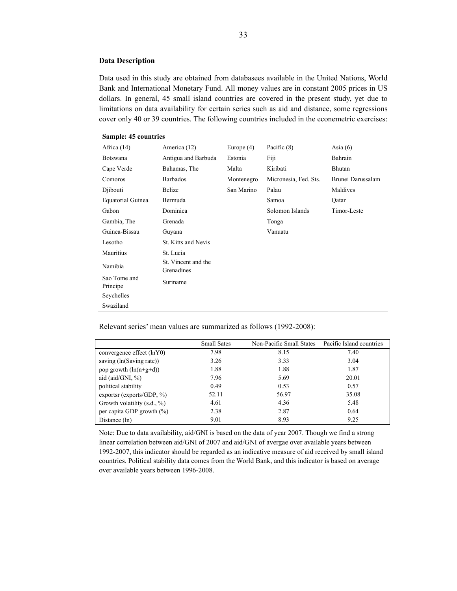#### **Data Description**

Data used in this study are obtained from databasees available in the United Nations, World Bank and International Monetary Fund. All money values are in constant 2005 prices in US dollars. In general, 45 small island countries are covered in the present study, yet due to limitations on data availability for certain series such as aid and distance, some regressions cover only 40 or 39 countries. The following countries included in the econemetric exercises:

| Africa $(14)$            | America (12)                      | Europe $(4)$ | Pacific $(8)$         | Asia $(6)$        |  |  |
|--------------------------|-----------------------------------|--------------|-----------------------|-------------------|--|--|
| <b>Botswana</b>          | Antigua and Barbuda               | Estonia      | Fiji                  | Bahrain           |  |  |
| Cape Verde               | Bahamas, The                      | Malta        | Kiribati              | Bhutan            |  |  |
| Comoros                  | <b>Barbados</b>                   | Montenegro   | Micronesia, Fed. Sts. | Brunei Darussalam |  |  |
| Djibouti                 | <b>Belize</b>                     | San Marino   | Palau                 | Maldives          |  |  |
| <b>Equatorial Guinea</b> | Bermuda                           |              | Samoa                 | Qatar             |  |  |
| Gabon                    | Dominica                          |              | Solomon Islands       | Timor-Leste       |  |  |
| Gambia, The              | Grenada                           |              | Tonga                 |                   |  |  |
| Guinea-Bissau            | Guyana                            |              | Vanuatu               |                   |  |  |
| Lesotho                  | <b>St. Kitts and Nevis</b>        |              |                       |                   |  |  |
| Mauritius                | St. Lucia                         |              |                       |                   |  |  |
| Namibia                  | St. Vincent and the<br>Grenadines |              |                       |                   |  |  |
| Sao Tome and<br>Principe | Suriname                          |              |                       |                   |  |  |
| Seychelles               |                                   |              |                       |                   |  |  |
| Swaziland                |                                   |              |                       |                   |  |  |

Relevant series' mean values are summarized as follows (1992-2008):

|                               | <b>Small Sates</b> | Non-Pacific Small States | Pacific Island countries |
|-------------------------------|--------------------|--------------------------|--------------------------|
| convergence effect (lnY0)     | 7.98               | 8.15                     | 7.40                     |
| saving (ln(Saving rate))      | 3.26               | 3.33                     | 3.04                     |
| pop growth $(ln(n+g+d))$      | 1.88               | 1.88                     | 1.87                     |
| aid $(\text{aid/GNI}, \%)$    | 7.96               | 5.69                     | 20.01                    |
| political stability           | 0.49               | 0.53                     | 0.57                     |
| exports (exports/GDP, $\%$ )  | 52.11              | 56.97                    | 35.08                    |
| Growth volatility (s.d., %)   | 4.61               | 4.36                     | 5.48                     |
| per capita GDP growth $(\% )$ | 2.38               | 2.87                     | 0.64                     |
| Distance (ln)                 | 9.01               | 8.93                     | 9.25                     |

Note: Due to data availability, aid/GNI is based on the data of year 2007. Though we find a strong linear correlation between aid/GNI of 2007 and aid/GNI of avergae over available years between 1992-2007, this indicator should be regarded as an indicative measure of aid received by small island countries. Political stability data comes from the World Bank, and this indicator is based on average over available years between 1996-2008.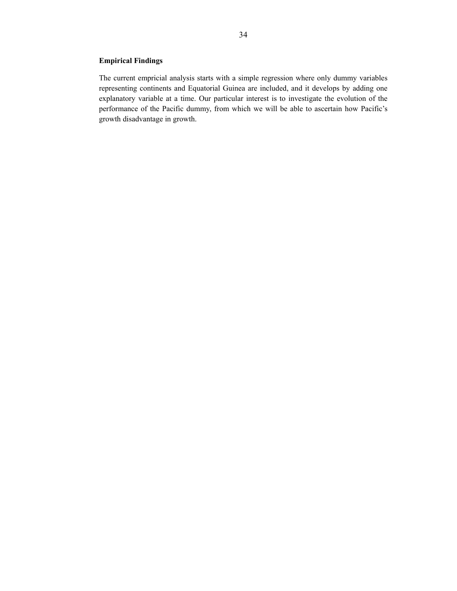# **Empirical Findings**

The current empricial analysis starts with a simple regression where only dummy variables representing continents and Equatorial Guinea are included, and it develops by adding one explanatory variable at a time. Our particular interest is to investigate the evolution of the performance of the Pacific dummy, from which we will be able to ascertain how Pacific's growth disadvantage in growth.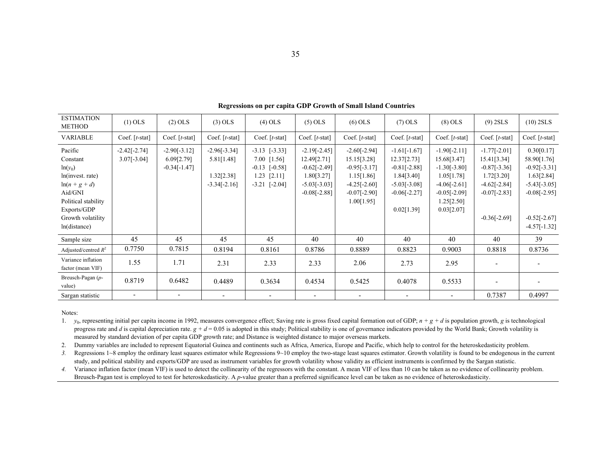| <b>ESTIMATION</b><br><b>METHOD</b>                                                                                                                         | $(1)$ OLS                       | $(2)$ OLS                                      | $(3)$ OLS                                                    | $(4)$ OLS                                                                                     | $(5)$ OLS                                                                                         | $(6)$ OLS                                                                                                       | $(7)$ OLS                                                                                                       | $(8)$ OLS                                                                                                                     | $(9)$ 2SLS                                                                                                          | $(10)$ 2SLS                                                                                                                       |
|------------------------------------------------------------------------------------------------------------------------------------------------------------|---------------------------------|------------------------------------------------|--------------------------------------------------------------|-----------------------------------------------------------------------------------------------|---------------------------------------------------------------------------------------------------|-----------------------------------------------------------------------------------------------------------------|-----------------------------------------------------------------------------------------------------------------|-------------------------------------------------------------------------------------------------------------------------------|---------------------------------------------------------------------------------------------------------------------|-----------------------------------------------------------------------------------------------------------------------------------|
| <b>VARIABLE</b>                                                                                                                                            | Coef. $[t-stat]$                | Coef. $[t-stat]$                               | Coef. $[t-stat]$                                             | Coef. $[t-stat]$                                                                              | Coef. $[t-stat]$                                                                                  | Coef. $[t-stat]$                                                                                                | Coef. $[t-stat]$                                                                                                | Coef. $[t-stat]$                                                                                                              | Coef. $[t-stat]$                                                                                                    | Coef. $[t-stat]$                                                                                                                  |
| Pacific<br>Constant<br>$ln(y_0)$<br>ln(invest. rate)<br>$\ln(n+g+d)$<br>Aid/GNI<br>Political stability<br>Exports/GDP<br>Growth volatility<br>ln(distance) | $-2.42[-2.74]$<br>$3.07[-3.04]$ | $-2.90[-3.12]$<br>6.09[2.79]<br>$-0.34[-1.47]$ | $-2.96[-3.34]$<br>5.81[1.48]<br>1.32[2.38]<br>$-3.34[-2.16]$ | $-3.13$ $[-3.33]$<br>$7.00$ [1.56]<br>$-0.13$ $[-0.58]$<br>$1.23$ [2.11]<br>$-3.21$ $[-2.04]$ | $-2.19[-2.45]$<br>12.49[2.71]<br>$-0.62[-2.49]$<br>1.80[3.27]<br>$-5.03[-3.03]$<br>$-0.08[-2.88]$ | $-2.60[-2.94]$<br>15.15[3.28]<br>$-0.95[-3.17]$<br>1.15[1.86]<br>$-4.25[-2.60]$<br>$-0.07[-2.90]$<br>1.00[1.95] | $-1.61[-1.67]$<br>12.37[2.73]<br>$-0.81[-2.88]$<br>1.84[3.40]<br>$-5.03[-3.08]$<br>$-0.06[-2.27]$<br>0.02[1.39] | $-1.90[-2.11]$<br>15.68[3.47]<br>$-1.30[-3.80]$<br>1.05[1.78]<br>$-4.06[-2.61]$<br>$-0.05[-2.09]$<br>1.25[2.50]<br>0.03[2.07] | $-1.77[-2.01]$<br>15.41[3.34]<br>$-0.87[-3.36]$<br>1.72[3.20]<br>$-4.62[-2.84]$<br>$-0.07[-2.83]$<br>$-0.36[-2.69]$ | 0.30[0.17]<br>58.90[1.76]<br>$-0.92[-3.31]$<br>1.63[2.84]<br>$-5.43[-3.05]$<br>$-0.08[-2.95]$<br>$-0.52[-2.67]$<br>$-4.57[-1.32]$ |
| Sample size                                                                                                                                                | 45                              | 45                                             | 45                                                           | 45                                                                                            | 40                                                                                                | 40                                                                                                              | 40                                                                                                              | 40                                                                                                                            | 40                                                                                                                  | 39                                                                                                                                |
| Adjusted/centred $R^2$                                                                                                                                     | 0.7750                          | 0.7815                                         | 0.8194                                                       | 0.8161                                                                                        | 0.8786                                                                                            | 0.8889                                                                                                          | 0.8823                                                                                                          | 0.9003                                                                                                                        | 0.8818                                                                                                              | 0.8736                                                                                                                            |
| Variance inflation<br>factor (mean VIF)                                                                                                                    | 1.55                            | 1.71                                           | 2.31                                                         | 2.33                                                                                          | 2.33                                                                                              | 2.06                                                                                                            | 2.73                                                                                                            | 2.95                                                                                                                          | $\overline{\phantom{a}}$                                                                                            |                                                                                                                                   |
| Breusch-Pagan $(p-$<br>value)                                                                                                                              | 0.8719                          | 0.6482                                         | 0.4489                                                       | 0.3634                                                                                        | 0.4534                                                                                            | 0.5425                                                                                                          | 0.4078                                                                                                          | 0.5533                                                                                                                        | $\overline{\phantom{a}}$                                                                                            |                                                                                                                                   |
| Sargan statistic                                                                                                                                           | $\overline{\phantom{a}}$        | $\overline{\phantom{a}}$                       | $\overline{\phantom{a}}$                                     |                                                                                               | $\overline{\phantom{a}}$                                                                          |                                                                                                                 | $\overline{\phantom{a}}$                                                                                        |                                                                                                                               | 0.7387                                                                                                              | 0.4997                                                                                                                            |

**Regressions on per capita GDP Growth of Small Island Countries** 

Notes:

1. *y*0, representing initial per capita income in 1992, measures convergence effect; Saving rate is gross fixed capital formation out of GDP; *n + g + d* is population growth, *g* is technological progress rate and *d* is capital depreciation rate.  $g + d = 0.05$  is adopted in this study; Political stability is one of governance indicators provided by the World Bank; Growth volatility is measured by standard deviation of per capita GDP growth rate; and Distance is weighted distance to major overseas markets.

2. Dummy variables are included to represent Equatorial Guinea and continents such as Africa, America, Europe and Pacific, which help to control for the heteroskedasticity problem.

*3.*Regressions 1~8 employ the ordinary least squares estimator while Regressions 9~10 employ the two-stage least squares estimator. Growth volatility is found to be endogenous in the current study, and political stability and exports/GDP are used as instrument variables for growth volatility whose validity as efficient instruments is confirmed by the Sargan statistic.

4. Variance inflation factor (mean VIF) is used to detect the collinearity of the regressors with the constant. A mean VIF of less than 10 can be taken as no evidence of collinearity problem. Breusch-Pagan test is employed to test for heteroskedasticity. A *p*-value greater than a preferred significance level can be taken as no evidence of heteroskedasticity.